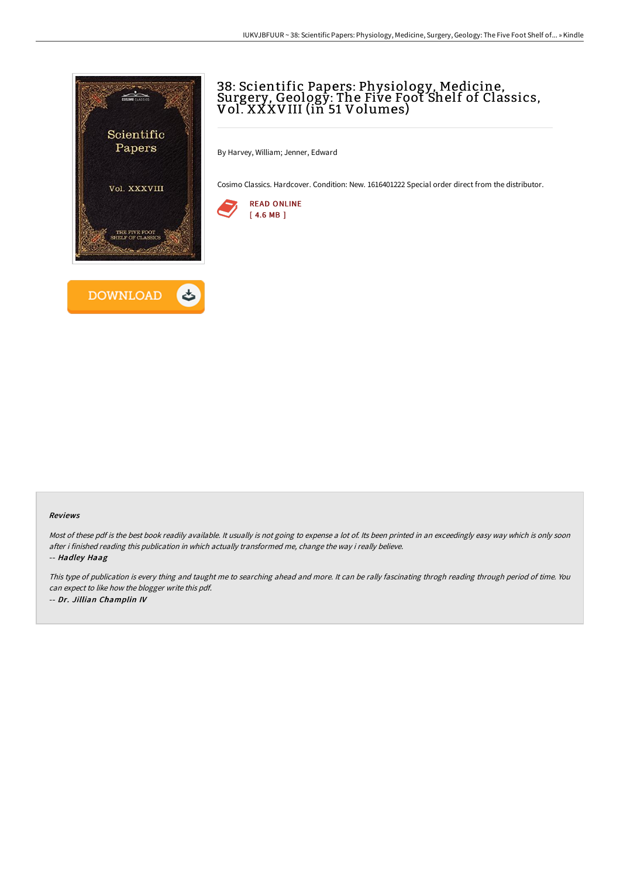



## 38: Scientific Papers: Physiology, Medicine, Surgery, Geology: The Five Foot Shelf of Classics, Vol. XXXVIII (in 51 Volumes)

By Harvey, William; Jenner, Edward

Cosimo Classics. Hardcover. Condition: New. 1616401222 Special order direct from the distributor.



## Reviews

Most of these pdf is the best book readily available. It usually is not going to expense a lot of. Its been printed in an exceedingly easy way which is only soon after i finished reading this publication in which actually transformed me, change the way i really believe.

-- Hadley Haag

This type of publication is every thing and taught me to searching ahead and more. It can be rally fascinating throgh reading through period of time. You can expect to like how the blogger write this pdf. -- Dr. Jillian Champlin IV